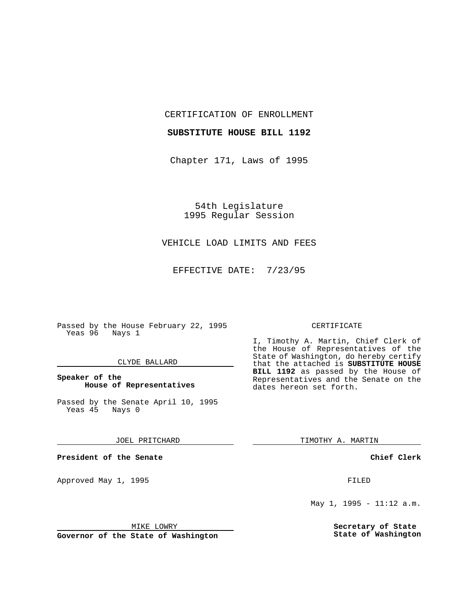CERTIFICATION OF ENROLLMENT

## **SUBSTITUTE HOUSE BILL 1192**

Chapter 171, Laws of 1995

54th Legislature 1995 Regular Session

# VEHICLE LOAD LIMITS AND FEES

EFFECTIVE DATE: 7/23/95

Passed by the House February 22, 1995 Yeas 96 Nays 1

## CLYDE BALLARD

## **Speaker of the House of Representatives**

Passed by the Senate April 10, 1995<br>Yeas 45 Nays 0 Yeas 45

#### JOEL PRITCHARD

**President of the Senate**

Approved May 1, 1995 **FILED** 

#### MIKE LOWRY

**Governor of the State of Washington**

#### CERTIFICATE

I, Timothy A. Martin, Chief Clerk of the House of Representatives of the State of Washington, do hereby certify that the attached is **SUBSTITUTE HOUSE BILL 1192** as passed by the House of Representatives and the Senate on the dates hereon set forth.

TIMOTHY A. MARTIN

## **Chief Clerk**

May 1, 1995 - 11:12 a.m.

**Secretary of State State of Washington**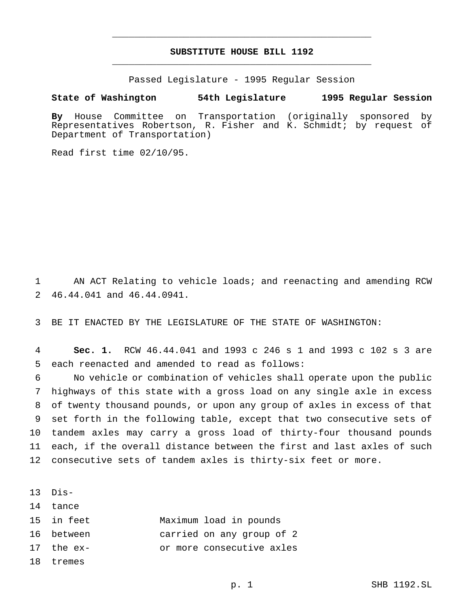# **SUBSTITUTE HOUSE BILL 1192** \_\_\_\_\_\_\_\_\_\_\_\_\_\_\_\_\_\_\_\_\_\_\_\_\_\_\_\_\_\_\_\_\_\_\_\_\_\_\_\_\_\_\_\_\_\_\_

\_\_\_\_\_\_\_\_\_\_\_\_\_\_\_\_\_\_\_\_\_\_\_\_\_\_\_\_\_\_\_\_\_\_\_\_\_\_\_\_\_\_\_\_\_\_\_

Passed Legislature - 1995 Regular Session

#### **State of Washington 54th Legislature 1995 Regular Session**

**By** House Committee on Transportation (originally sponsored by Representatives Robertson, R. Fisher and K. Schmidt; by request of Department of Transportation)

Read first time 02/10/95.

 AN ACT Relating to vehicle loads; and reenacting and amending RCW 46.44.041 and 46.44.0941.

BE IT ENACTED BY THE LEGISLATURE OF THE STATE OF WASHINGTON:

 **Sec. 1.** RCW 46.44.041 and 1993 c 246 s 1 and 1993 c 102 s 3 are each reenacted and amended to read as follows:

 No vehicle or combination of vehicles shall operate upon the public highways of this state with a gross load on any single axle in excess of twenty thousand pounds, or upon any group of axles in excess of that set forth in the following table, except that two consecutive sets of tandem axles may carry a gross load of thirty-four thousand pounds each, if the overall distance between the first and last axles of such consecutive sets of tandem axles is thirty-six feet or more.

Dis-

tance

- in feet Maximum load in pounds
- between carried on any group of 2
- the ex- or more consecutive axles
- tremes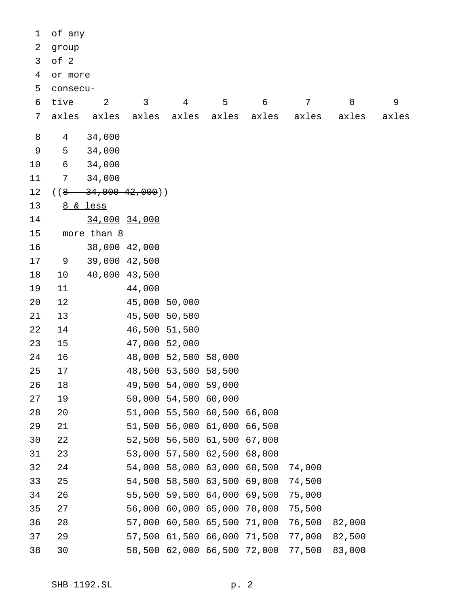| 1  | of any         |                           |               |                      |                             |        |        |        |       |
|----|----------------|---------------------------|---------------|----------------------|-----------------------------|--------|--------|--------|-------|
| 2  | group          |                           |               |                      |                             |        |        |        |       |
| 3  | of 2           |                           |               |                      |                             |        |        |        |       |
| 4  | or more        |                           |               |                      |                             |        |        |        |       |
| 5  | consecu-       |                           |               |                      |                             |        |        |        |       |
| 6  | tive           | 2                         | 3             | $\overline{4}$       | 5                           | 6      | 7      | 8      | 9     |
| 7  | axles          | axles                     | axles         | axles                | axles                       | axles  | axles  | axles  | axles |
| 8  | $\overline{4}$ | 34,000                    |               |                      |                             |        |        |        |       |
| 9  | 5              | 34,000                    |               |                      |                             |        |        |        |       |
| 10 | 6              | 34,000                    |               |                      |                             |        |        |        |       |
| 11 | 7              | 34,000                    |               |                      |                             |        |        |        |       |
| 12 |                | $((8 \t34,000 \t42,000))$ |               |                      |                             |        |        |        |       |
| 13 |                | 8 & less                  |               |                      |                             |        |        |        |       |
| 14 |                | 34,000 34,000             |               |                      |                             |        |        |        |       |
| 15 |                | more than 8               |               |                      |                             |        |        |        |       |
| 16 |                | 38,000 42,000             |               |                      |                             |        |        |        |       |
| 17 | 9              | 39,000 42,500             |               |                      |                             |        |        |        |       |
| 18 | 10             | 40,000 43,500             |               |                      |                             |        |        |        |       |
| 19 | 11             |                           | 44,000        |                      |                             |        |        |        |       |
| 20 | 12             |                           | 45,000 50,000 |                      |                             |        |        |        |       |
| 21 | 13             |                           | 45,500 50,500 |                      |                             |        |        |        |       |
| 22 | 14             |                           | 46,500 51,500 |                      |                             |        |        |        |       |
| 23 | 15             |                           | 47,000 52,000 |                      |                             |        |        |        |       |
| 24 | 16             |                           |               | 48,000 52,500 58,000 |                             |        |        |        |       |
| 25 | 17             |                           |               | 48,500 53,500 58,500 |                             |        |        |        |       |
| 26 | 18             |                           |               | 49,500 54,000 59,000 |                             |        |        |        |       |
| 27 | 19             |                           |               | 50,000 54,500 60,000 |                             |        |        |        |       |
| 28 | 20             |                           |               |                      | 51,000 55,500 60,500 66,000 |        |        |        |       |
| 29 | 21             |                           |               | 51,500 56,000 61,000 |                             | 66,500 |        |        |       |
| 30 | 22             |                           |               | 52,500 56,500 61,500 |                             | 67,000 |        |        |       |
| 31 | 23             |                           |               | 53,000 57,500 62,500 |                             | 68,000 |        |        |       |
| 32 | 24             |                           |               | 54,000 58,000 63,000 |                             | 68,500 | 74,000 |        |       |
| 33 | 25             |                           |               | 54,500 58,500 63,500 |                             | 69,000 | 74,500 |        |       |
| 34 | 26             |                           |               | 55,500 59,500 64,000 |                             | 69,500 | 75,000 |        |       |
| 35 | 27             |                           |               | 56,000 60,000 65,000 |                             | 70,000 | 75,500 |        |       |
| 36 | 28             |                           |               | 57,000 60,500 65,500 |                             | 71,000 | 76,500 | 82,000 |       |
| 37 | 29             |                           |               | 57,500 61,500 66,000 |                             | 71,500 | 77,000 | 82,500 |       |
| 38 | 30             |                           |               |                      | 58,500 62,000 66,500 72,000 |        | 77,500 | 83,000 |       |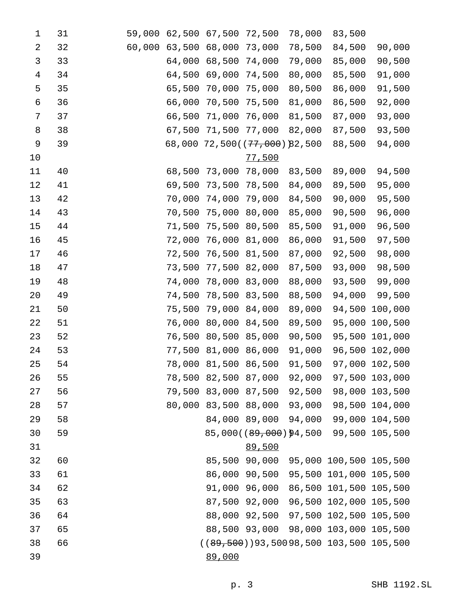| 1              | 31 | 59,000 |        | 62,500 67,500        | 72,500                              | 78,000 | 83,500                                     |                |
|----------------|----|--------|--------|----------------------|-------------------------------------|--------|--------------------------------------------|----------------|
| $\overline{2}$ | 32 | 60,000 | 63,500 | 68,000               | 73,000                              | 78,500 | 84,500                                     | 90,000         |
| 3              | 33 |        | 64,000 | 68,500               | 74,000                              | 79,000 | 85,000                                     | 90,500         |
| $\overline{4}$ | 34 |        | 64,500 | 69,000               | 74,500                              | 80,000 | 85,500                                     | 91,000         |
| 5              | 35 |        | 65,500 | 70,000               | 75,000                              | 80,500 | 86,000                                     | 91,500         |
| 6              | 36 |        | 66,000 | 70,500               | 75,500                              | 81,000 | 86,500                                     | 92,000         |
| 7              | 37 |        | 66,500 | 71,000               | 76,000                              | 81,500 | 87,000                                     | 93,000         |
| 8              | 38 |        | 67,500 | 71,500               | 77,000                              | 82,000 | 87,500                                     | 93,500         |
| 9              | 39 |        | 68,000 |                      | 72,500(( <del>77,000</del> ))82,500 |        | 88,500                                     | 94,000         |
| 10             |    |        |        |                      | 77,500                              |        |                                            |                |
| 11             | 40 |        | 68,500 | 73,000               | 78,000                              | 83,500 | 89,000                                     | 94,500         |
| 12             | 41 |        | 69,500 | 73,500               | 78,500                              | 84,000 | 89,500                                     | 95,000         |
| 13             | 42 |        | 70,000 | 74,000               | 79,000                              | 84,500 | 90,000                                     | 95,500         |
| 14             | 43 |        | 70,500 | 75,000               | 80,000                              | 85,000 | 90,500                                     | 96,000         |
| 15             | 44 |        | 71,500 | 75,500               | 80,500                              | 85,500 | 91,000                                     | 96,500         |
| 16             | 45 |        | 72,000 | 76,000               | 81,000                              | 86,000 | 91,500                                     | 97,500         |
| 17             | 46 |        | 72,500 | 76,500               | 81,500                              | 87,000 | 92,500                                     | 98,000         |
| 18             | 47 |        | 73,500 | 77,500               | 82,000                              | 87,500 | 93,000                                     | 98,500         |
| 19             | 48 |        | 74,000 | 78,000               | 83,000                              | 88,000 | 93,500                                     | 99,000         |
| 20             | 49 |        | 74,500 | 78,500               | 83,500                              | 88,500 | 94,000                                     | 99,500         |
| 21             | 50 |        | 75,500 | 79,000               | 84,000                              | 89,000 | 94,500                                     | 100,000        |
| 22             | 51 |        | 76,000 | 80,000               | 84,500                              | 89,500 | 95,000                                     | 100,500        |
| 23             | 52 |        | 76,500 | 80,500               | 85,000                              | 90,500 | 95,500                                     | 101,000        |
| 24             | 53 |        | 77,500 | 81,000               | 86,000                              | 91,000 | 96,500                                     | 102,000        |
| 25             | 54 |        |        | 78,000 81,500 86,500 |                                     | 91,500 |                                            | 97,000 102,500 |
| 26             | 55 |        |        | 78,500 82,500 87,000 |                                     | 92,000 |                                            | 97,500 103,000 |
| 27             | 56 |        |        | 79,500 83,000 87,500 |                                     | 92,500 |                                            | 98,000 103,500 |
| 28             | 57 |        |        |                      | 80,000 83,500 88,000 93,000         |        |                                            | 98,500 104,000 |
| 29             | 58 |        |        | 84,000 89,000        |                                     | 94,000 |                                            | 99,000 104,500 |
| 30             | 59 |        |        |                      |                                     |        | 85,000((89,000))94,500 99,500 105,500      |                |
| 31             |    |        |        |                      | 89,500                              |        |                                            |                |
| 32             | 60 |        |        | 85,500 90,000        |                                     |        | 95,000 100,500 105,500                     |                |
| 33             | 61 |        |        | 86,000 90,500        |                                     |        | 95,500 101,000 105,500                     |                |
| 34             | 62 |        |        | 91,000 96,000        |                                     |        | 86,500 101,500 105,500                     |                |
| 35             | 63 |        |        | 87,500 92,000        |                                     |        | 96,500 102,000 105,500                     |                |
| 36             | 64 |        |        |                      |                                     |        | 88,000 92,500 97,500 102,500 105,500       |                |
| 37             | 65 |        |        |                      |                                     |        | 88,500 93,000 98,000 103,000 105,500       |                |
| 38             | 66 |        |        |                      |                                     |        | $((89, 500)$ )93,50098,500 103,500 105,500 |                |
| 39             |    |        |        | 89,000               |                                     |        |                                            |                |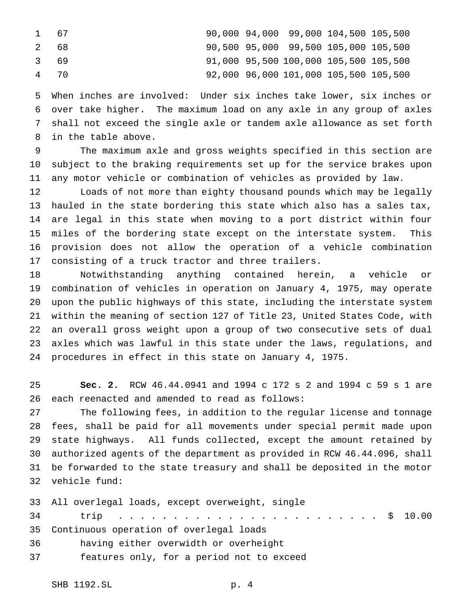| 1 67 |  |  | 90,000 94,000 99,000 104,500 105,500  |  |
|------|--|--|---------------------------------------|--|
| 2 68 |  |  | 90,500 95,000 99,500 105,000 105,500  |  |
| 3 69 |  |  | 91,000 95,500 100,000 105,500 105,500 |  |
| 4 70 |  |  | 92,000 96,000 101,000 105,500 105,500 |  |

 When inches are involved: Under six inches take lower, six inches or over take higher. The maximum load on any axle in any group of axles shall not exceed the single axle or tandem axle allowance as set forth in the table above.

 The maximum axle and gross weights specified in this section are subject to the braking requirements set up for the service brakes upon any motor vehicle or combination of vehicles as provided by law.

 Loads of not more than eighty thousand pounds which may be legally hauled in the state bordering this state which also has a sales tax, are legal in this state when moving to a port district within four miles of the bordering state except on the interstate system. This provision does not allow the operation of a vehicle combination consisting of a truck tractor and three trailers.

 Notwithstanding anything contained herein, a vehicle or combination of vehicles in operation on January 4, 1975, may operate upon the public highways of this state, including the interstate system within the meaning of section 127 of Title 23, United States Code, with an overall gross weight upon a group of two consecutive sets of dual axles which was lawful in this state under the laws, regulations, and procedures in effect in this state on January 4, 1975.

 **Sec. 2.** RCW 46.44.0941 and 1994 c 172 s 2 and 1994 c 59 s 1 are each reenacted and amended to read as follows:

 The following fees, in addition to the regular license and tonnage fees, shall be paid for all movements under special permit made upon state highways. All funds collected, except the amount retained by authorized agents of the department as provided in RCW 46.44.096, shall be forwarded to the state treasury and shall be deposited in the motor vehicle fund:

 All overlegal loads, except overweight, single trip ........................ \$ 10.00 Continuous operation of overlegal loads having either overwidth or overheight features only, for a period not to exceed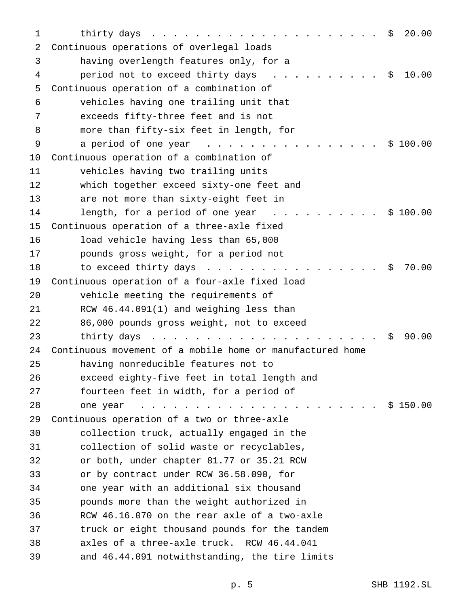| 1  | 20.00<br>thirty days<br>\$                                                                                               |
|----|--------------------------------------------------------------------------------------------------------------------------|
| 2  | Continuous operations of overlegal loads                                                                                 |
| 3  | having overlength features only, for a                                                                                   |
| 4  | 10.00<br>period not to exceed thirty days<br>\$<br>$\mathcal{L} = \mathcal{L} = \mathcal{L} = \mathcal{L} = \mathcal{L}$ |
| 5  | Continuous operation of a combination of                                                                                 |
| 6  | vehicles having one trailing unit that                                                                                   |
| 7  | exceeds fifty-three feet and is not                                                                                      |
| 8  | more than fifty-six feet in length, for                                                                                  |
| 9  | \$100.00<br>a period of one year<br>.                                                                                    |
| 10 | Continuous operation of a combination of                                                                                 |
| 11 | vehicles having two trailing units                                                                                       |
| 12 | which together exceed sixty-one feet and                                                                                 |
| 13 | are not more than sixty-eight feet in                                                                                    |
| 14 | length, for a period of one year<br>\$100.00<br>and the state of the state                                               |
| 15 | Continuous operation of a three-axle fixed                                                                               |
| 16 | load vehicle having less than 65,000                                                                                     |
| 17 | pounds gross weight, for a period not                                                                                    |
| 18 | to exceed thirty days<br>70.00<br>Ŝ.                                                                                     |
| 19 | Continuous operation of a four-axle fixed load                                                                           |
| 20 | vehicle meeting the requirements of                                                                                      |
| 21 | RCW 46.44.091(1) and weighing less than                                                                                  |
| 22 | 86,000 pounds gross weight, not to exceed                                                                                |
| 23 | 90.00<br>thirty days<br>S.<br><u>na mana sa sana sa sa sa sa sa sa sa sa</u>                                             |
| 24 | Continuous movement of a mobile home or manufactured home                                                                |
| 25 | having nonreducible features not to                                                                                      |
| 26 | exceed eighty-five feet in total length and                                                                              |
| 27 | fourteen feet in width, for a period of                                                                                  |
| 28 | \$150.00<br>one year<br>.                                                                                                |
| 29 | Continuous operation of a two or three-axle                                                                              |
| 30 | collection truck, actually engaged in the                                                                                |
| 31 | collection of solid waste or recyclables,                                                                                |
| 32 | or both, under chapter 81.77 or 35.21 RCW                                                                                |
| 33 | or by contract under RCW 36.58.090, for                                                                                  |
| 34 | one year with an additional six thousand                                                                                 |
| 35 | pounds more than the weight authorized in                                                                                |
| 36 | RCW 46.16.070 on the rear axle of a two-axle                                                                             |
| 37 | truck or eight thousand pounds for the tandem                                                                            |
| 38 | axles of a three-axle truck. RCW 46.44.041                                                                               |
| 39 | and 46.44.091 notwithstanding, the tire limits                                                                           |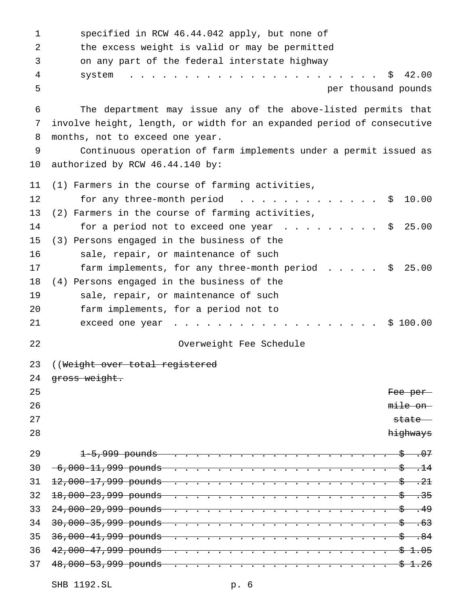| $\mathbf{1}$ | specified in RCW 46.44.042 apply, but none of                                  |
|--------------|--------------------------------------------------------------------------------|
| 2            | the excess weight is valid or may be permitted                                 |
| 3            | on any part of the federal interstate highway                                  |
| 4            | 42.00<br>Ş.<br>system                                                          |
| 5            | per thousand pounds                                                            |
| 6            | The department may issue any of the above-listed permits that                  |
| 7            | involve height, length, or width for an expanded period of consecutive         |
| 8            | months, not to exceed one year.                                                |
| 9            | Continuous operation of farm implements under a permit issued as               |
| $10 \,$      | authorized by RCW 46.44.140 by:                                                |
| 11           | (1) Farmers in the course of farming activities,                               |
| 12           | for any three-month period $\ldots$<br>10.00<br>Ş.                             |
| 13           | (2) Farmers in the course of farming activities,                               |
| 14           | for a period not to exceed one year $\ldots$<br>25.00<br>Ş.                    |
| 15           | (3) Persons engaged in the business of the                                     |
| 16           | sale, repair, or maintenance of such                                           |
| 17           | 25.00<br>farm implements, for any three-month period<br>\$                     |
| 18           | (4) Persons engaged in the business of the                                     |
| 19           | sale, repair, or maintenance of such                                           |
| 20           | farm implements, for a period not to                                           |
| 21           | 100.00<br>exceed one year<br>Ŝ.                                                |
| 22           | Overweight Fee Schedule                                                        |
| 23           | ((Weight over total registered                                                 |
| 24           | gross weight.                                                                  |
| 25           | Fee per                                                                        |
| 26           | mile on                                                                        |
| 27           | state                                                                          |
| 28           | highways                                                                       |
| 29           | $\frac{1}{5}$ .07<br>$1-5.999$ pounds                                          |
| 30           | $-6,000 - 11,999$ pounds<br>-\$−<br><del>.14</del><br>$\overline{\phantom{a}}$ |
| 31           | -\$—<br>- 21<br>$\overline{\phantom{a}}$<br>$\overline{\phantom{a}}$           |
| 32           | <del>. 35</del><br>-\$−                                                        |
| 33           | $\frac{1}{5}$ . 49                                                             |
| 34           | -\$−<br><del>. 63</del>                                                        |
| 35           | <del>36,000-41,999 pounds</del><br><del>s</del> .84                            |
| 36           | 42,000-47,999 pounds<br><del>\$1.05</del>                                      |
| 37           |                                                                                |
|              |                                                                                |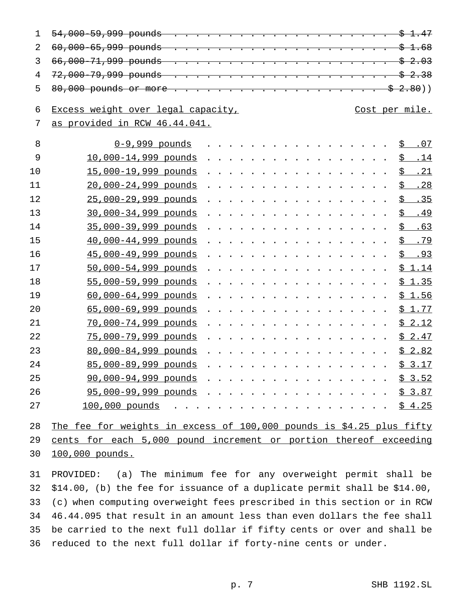| $\mathbf{1}$   |                                                                        |  |                |
|----------------|------------------------------------------------------------------------|--|----------------|
| $\overline{2}$ |                                                                        |  |                |
| 3              |                                                                        |  |                |
| 4              |                                                                        |  |                |
| 5              |                                                                        |  |                |
| 6              | Excess weight over legal capacity,                                     |  | Cost per mile. |
| 7              | as provided in RCW 46.44.041.                                          |  |                |
|                |                                                                        |  |                |
| 8              | $0-9,999$ pounds $5.07$                                                |  |                |
| 9              | 10,000-14,999 pounds                                                   |  | $$-.14$        |
| 10             | 15,000-19,999 pounds \$ .21                                            |  |                |
| 11             | 20,000-24,999 pounds                                                   |  | $$-.28$        |
| 12             | 25,000-29 <u>,999 pounds</u>                                           |  | $$-.35$        |
| 13             | 30,000-34 <u>,999 pounds</u>                                           |  | $$-.49$        |
| 14             | $35,000-39,999$ pounds \$ .63                                          |  |                |
| 15             | 40,000-44,999 pounds                                                   |  | <u>\$.79</u>   |
| 16             |                                                                        |  |                |
| 17             | 50,000-54,999 pounds                                                   |  | \$1.14         |
| 18             | $55,000 - 59,999$ pounds \$ 1.35                                       |  |                |
| 19             | 60,000-64 <u>,999 pounds</u>                                           |  | \$1.56         |
| 20             | 65,000-69,999 pounds \$ 1.77                                           |  |                |
| 21             | $70,000-74,999$ pounds \$ 2.12                                         |  |                |
| 22             | 75,000-79,999 pounds \$ 2.47                                           |  |                |
| 23             | 80,000-84,999 pounds \$ 2.82                                           |  |                |
| 24             | 85,000-89,999 pounds \$ 3.17                                           |  |                |
| 25             | 90,000-94,999 pounds \$ 3.52                                           |  |                |
| 26             | $95,000-99,999$ pounds                                                 |  | <u>\$3.87</u>  |
| 27             | $100,000$ pounds \$ 4.25                                               |  |                |
|                |                                                                        |  |                |
| 28             | The fee for weights in excess of $100,000$ pounds is \$4.25 plus fifty |  |                |
| 29             | cents for each 5,000 pound increment or portion thereof exceeding      |  |                |
| 30             | 100,000 pounds.                                                        |  |                |

 PROVIDED: (a) The minimum fee for any overweight permit shall be \$14.00, (b) the fee for issuance of a duplicate permit shall be \$14.00, (c) when computing overweight fees prescribed in this section or in RCW 46.44.095 that result in an amount less than even dollars the fee shall be carried to the next full dollar if fifty cents or over and shall be reduced to the next full dollar if forty-nine cents or under.